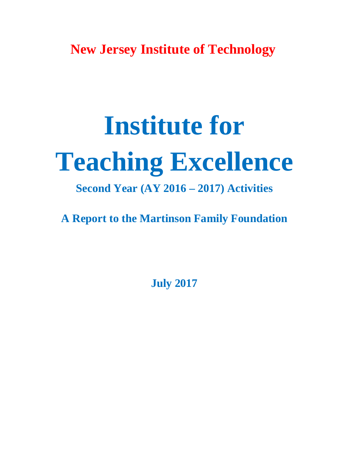**New Jersey Institute of Technology**

# **Institute for Teaching Excellence**

## **Second Year (AY 2016 – 2017) Activities**

**A Report to the Martinson Family Foundation**

**July 2017**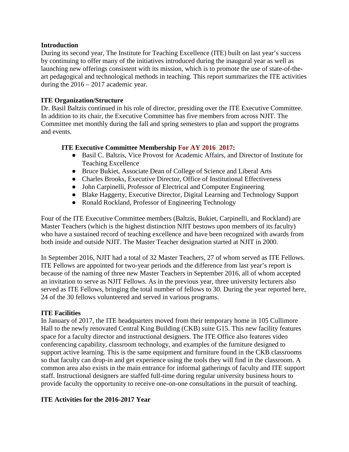## **Introduction**

During its second year, The Institute for Teaching Excellence (ITE) built on last year's success by continuing to offer many of the initiatives introduced during the inaugural year as well as launching new offerings consistent with its mission, which is to promote the use of state-of-theart pedagogical and technological methods in teaching. This report summarizes the ITE activities during the 2016 – 2017 academic year.

## **ITE Organization/Structure**

Dr. Basil Baltzis continued in his role of director, presiding over the ITE Executive Committee. In addition to its chair, the Executive Committee has five members from across NJIT. The Committee met monthly during the fall and spring semesters to plan and support the programs and events.

## **ITE Executive Committee Membership For AY 2016 2017:**

- Basil C. Baltzis, Vice Provost for Academic Affairs, and Director of Institute for Teaching Excellence
- Bruce Bukiet, Associate Dean of College of Science and Liberal Arts
- Charles Brooks, Executive Director, Office of Institutional Effectiveness
- John Carpinelli, Professor of Electrical and Computer Engineering
- Blake Haggerty, Executive Director, Digital Learning and Technology Support
- Ronald Rockland, Professor of Engineering Technology

Four of the ITE Executive Committee members (Baltzis, Bukiet, Carpinelli, and Rockland) are Master Teachers (which is the highest distinction NJIT bestows upon members of its faculty) who have a sustained record of teaching excellence and have been recognized with awards from both inside and outside NJIT. The Master Teacher designation started at NJIT in 2000.

In September 2016, NJIT had a total of 32 Master Teachers, 27 of whom served as ITE Fellows. ITE Fellows are appointed for two-year periods and the difference from last year's report is because of the naming of three new Master Teachers in September 2016, all of whom accepted an invitation to serve as NJIT Fellows. As in the previous year, three university lecturers also served as ITE Fellows, bringing the total number of fellows to 30. During the year reported here, 24 of the 30 fellows volunteered and served in various programs.

## **ITE Facilities**

In January of 2017, the ITE headquarters moved from their temporary home in 105 Cullimore Hall to the newly renovated Central King Building (CKB) suite G15. This new facility features space for a faculty director and instructional designers. The ITE Office also features video conferencing capability, classroom technology, and examples of the furniture designed to support active learning. This is the same equipment and furniture found in the CKB classrooms so that faculty can drop-in and get experience using the tools they will find in the classroom. A common area also exists in the main entrance for informal gatherings of faculty and ITE support staff. Instructional designers are staffed full-time during regular university business hours to provide faculty the opportunity to receive one-on-one consultations in the pursuit of teaching.

## **ITE Activities for the 2016-2017 Year**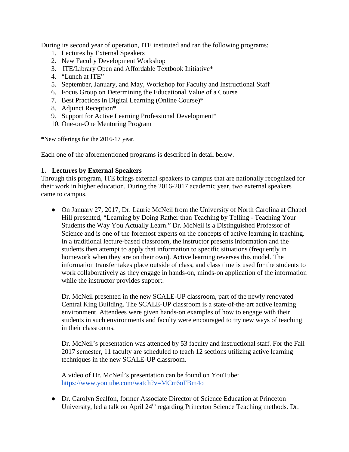During its second year of operation, ITE instituted and ran the following programs:

- 1. Lectures by External Speakers
- 2. New Faculty Development Workshop
- 3. ITE/Library Open and Affordable Textbook Initiative\*
- 4. "Lunch at ITE"
- 5. September, January, and May, Workshop for Faculty and Instructional Staff
- 6. Focus Group on Determining the Educational Value of a Course
- 7. Best Practices in Digital Learning (Online Course)\*
- 8. Adjunct Reception\*
- 9. Support for Active Learning Professional Development\*
- 10. One-on-One Mentoring Program

\*New offerings for the 2016-17 year.

Each one of the aforementioned programs is described in detail below.

## **1. Lectures by External Speakers**

Through this program, ITE brings external speakers to campus that are nationally recognized for their work in higher education. During the 2016-2017 academic year, two external speakers came to campus.

• On January 27, 2017, Dr. Laurie McNeil from the University of North Carolina at Chapel Hill presented, "Learning by Doing Rather than Teaching by Telling - Teaching Your Students the Way You Actually Learn." Dr. McNeil is a Distinguished Professor of Science and is one of the foremost experts on the concepts of active learning in teaching. In a traditional lecture-based classroom, the instructor presents information and the students then attempt to apply that information to specific situations (frequently in homework when they are on their own). Active learning reverses this model. The information transfer takes place outside of class, and class time is used for the students to work collaboratively as they engage in hands-on, minds-on application of the information while the instructor provides support.

Dr. McNeil presented in the new SCALE-UP classroom, part of the newly renovated Central King Building. The SCALE-UP classroom is a state-of-the-art active learning environment. Attendees were given hands-on examples of how to engage with their students in such environments and faculty were encouraged to try new ways of teaching in their classrooms.

Dr. McNeil's presentation was attended by 53 faculty and instructional staff. For the Fall 2017 semester, 11 faculty are scheduled to teach 12 sections utilizing active learning techniques in the new SCALE-UP classroom.

A video of Dr. McNeil's presentation can be found on YouTube: <https://www.youtube.com/watch?v=MCrr6oFBm4o>

● Dr. Carolyn Sealfon, former Associate Director of Science Education at Princeton University, led a talk on April 24<sup>th</sup> regarding Princeton Science Teaching methods. Dr.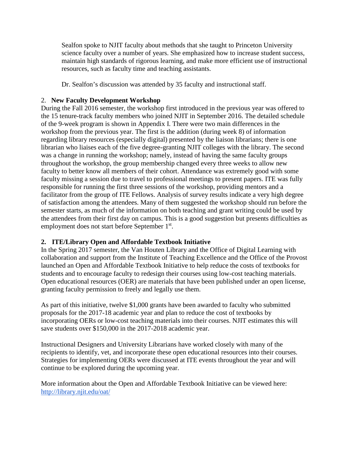Sealfon spoke to NJIT faculty about methods that she taught to Princeton University science faculty over a number of years. She emphasized how to increase student success, maintain high standards of rigorous learning, and make more efficient use of instructional resources, such as faculty time and teaching assistants.

Dr. Sealfon's discussion was attended by 35 faculty and instructional staff.

## 2. **New Faculty Development Workshop**

During the Fall 2016 semester, the workshop first introduced in the previous year was offered to the 15 tenure-track faculty members who joined NJIT in September 2016. The detailed schedule of the 9-week program is shown in Appendix I. There were two main differences in the workshop from the previous year. The first is the addition (during week 8) of information regarding library resources (especially digital) presented by the liaison librarians; there is one librarian who liaises each of the five degree-granting NJIT colleges with the library. The second was a change in running the workshop; namely, instead of having the same faculty groups throughout the workshop, the group membership changed every three weeks to allow new faculty to better know all members of their cohort. Attendance was extremely good with some faculty missing a session due to travel to professional meetings to present papers. ITE was fully responsible for running the first three sessions of the workshop, providing mentors and a facilitator from the group of ITE Fellows. Analysis of survey results indicate a very high degree of satisfaction among the attendees. Many of them suggested the workshop should run before the semester starts, as much of the information on both teaching and grant writing could be used by the attendees from their first day on campus. This is a good suggestion but presents difficulties as employment does not start before September 1<sup>st</sup>.

## **2. ITE/Library Open and Affordable Textbook Initiative**

In the Spring 2017 semester, the Van Houten Library and the Office of Digital Learning with collaboration and support from the Institute of Teaching Excellence and the Office of the Provost launched an Open and Affordable Textbook Initiative to help reduce the costs of textbooks for students and to encourage faculty to redesign their courses using low-cost teaching materials. Open educational resources (OER) are materials that have been published under an open license, granting faculty permission to freely and legally use them.

As part of this initiative, twelve \$1,000 grants have been awarded to faculty who submitted proposals for the 2017-18 academic year and plan to reduce the cost of textbooks by incorporating OERs or low-cost teaching materials into their courses. NJIT estimates this will save students over \$150,000 in the 2017-2018 academic year.

Instructional Designers and University Librarians have worked closely with many of the recipients to identify, vet, and incorporate these open educational resources into their courses. Strategies for implementing OERs were discussed at ITE events throughout the year and will continue to be explored during the upcoming year.

More information about the Open and Affordable Textbook Initiative can be viewed here: <http://library.njit.edu/oat/>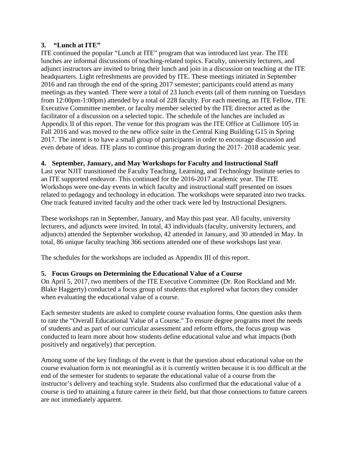## **3. "Lunch at ITE"**

ITE continued the popular "Lunch at ITE" program that was introduced last year. The ITE lunches are informal discussions of teaching-related topics. Faculty, university lecturers, and adjunct instructors are invited to bring their lunch and join in a discussion on teaching at the ITE headquarters. Light refreshments are provided by ITE. These meetings initiated in September 2016 and ran through the end of the spring 2017 semester; participants could attend as many meetings as they wanted. There were a total of 23 lunch events (all of them running on Tuesdays from 12:00pm-1:00pm) attended by a total of 228 faculty. For each meeting, an ITE Fellow, ITE Executive Committee member, or faculty member selected by the ITE director acted as the facilitator of a discussion on a selected topic. The schedule of the lunches are included as Appendix II of this report. The venue for this program was the ITE Office at Cullimore 105 in Fall 2016 and was moved to the new office suite in the Central King Building G15 in Spring 2017. The intent is to have a small group of participants in order to encourage discussion and even debate of ideas. ITE plans to continue this program during the 2017- 2018 academic year.

## **4. September, January, and May Workshops for Faculty and Instructional Staff**

Last year NJIT transitioned the Faculty Teaching, Learning, and Technology Institute series to an ITE supported endeavor. This continued for the 2016-2017 academic year. The ITE Workshops were one-day events in which faculty and instructional staff presented on issues related to pedagogy and technology in education. The workshops were separated into two tracks. One track featured invited faculty and the other track were led by Instructional Designers.

These workshops ran in September, January, and May this past year. All faculty, university lecturers, and adjuncts were invited. In total, 43 individuals (faculty, university lecturers, and adjuncts) attended the September workshop, 42 attended in January, and 30 attended in May. In total, 86 unique faculty teaching 366 sections attended one of these workshops last year.

The schedules for the workshops are included as Appendix III of this report.

## **5. Focus Groups on Determining the Educational Value of a Course**

On April 5, 2017, two members of the ITE Executive Committee (Dr. Ron Rockland and Mr. Blake Haggerty) conducted a focus group of students that explored what factors they consider when evaluating the educational value of a course.

Each semester students are asked to complete course evaluation forms. One question asks them to rate the "Overall Educational Value of a Course." To ensure degree programs meet the needs of students and as part of our curricular assessment and reform efforts, the focus group was conducted to learn more about how students define educational value and what impacts (both positively and negatively) that perception.

Among some of the key findings of the event is that the question about educational value on the course evaluation form is not meaningful as it is currently written because it is too difficult at the end of the semester for students to separate the educational value of a course from the instructor's delivery and teaching style. Students also confirmed that the educational value of a course is tied to attaining a future career in their field, but that those connections to future careers are not immediately apparent.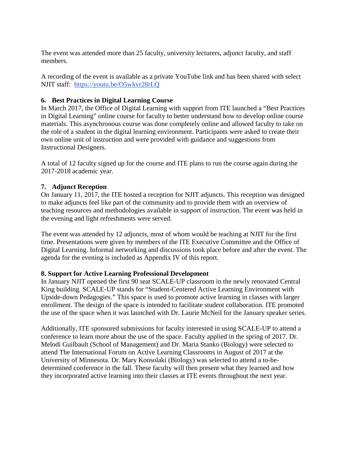The event was attended more than 25 faculty, university lecturers, adjunct faculty, and staff members.

A recording of the event is available as a private YouTube link and has been shared with select NJIT staff: <https://youtu.be/O5wkvr28rLQ>

## **6. Best Practices in Digital Learning Course**

In March 2017, the Office of Digital Learning with support from ITE launched a "Best Practices in Digital Learning" online course for faculty to better understand how to develop online course materials. This asynchronous course was done completely online and allowed faculty to take on the role of a student in the digital learning environment. Participants were asked to create their own online unit of instruction and were provided with guidance and suggestions from Instructional Designers.

A total of 12 faculty signed up for the course and ITE plans to run the course again during the 2017-2018 academic year.

## **7. Adjunct Reception**

On January 11, 2017, the ITE hosted a reception for NJIT adjuncts. This reception was designed to make adjuncts feel like part of the community and to provide them with an overview of teaching resources and methodologies available in support of instruction. The event was held in the evening and light refreshments were served.

The event was attended by 12 adjuncts, most of whom would be teaching at NJIT for the first time. Presentations were given by members of the ITE Executive Committee and the Office of Digital Learning. Informal networking and discussions took place before and after the event. The agenda for the evening is included as Appendix IV of this report.

## **8. Support for Active Learning Professional Development**

In January NJIT opened the first 90 seat SCALE-UP classroom in the newly renovated Central King building. SCALE-UP stands for "Student-Centered Active Learning Environment with Upside-down Pedagogies." This space is used to promote active learning in classes with larger enrollment. The design of the space is intended to facilitate student collaboration. ITE promoted the use of the space when it was launched with Dr. Laurie McNeil for the January speaker series.

Additionally, ITE sponsored submissions for faculty interested in using SCALE-UP to attend a conference to learn more about the use of the space. Faculty applied in the spring of 2017. Dr. Melodi Guilbault (School of Management) and Dr. Maria Stanko (Biology) were selected to attend The International Forum on Active Learning Classrooms in August of 2017 at the University of Minnesota. Dr. Mary Konsolaki (Biology) was selected to attend a to-bedetermined conference in the fall. These faculty will then present what they learned and how they incorporated active learning into their classes at ITE events throughout the next year.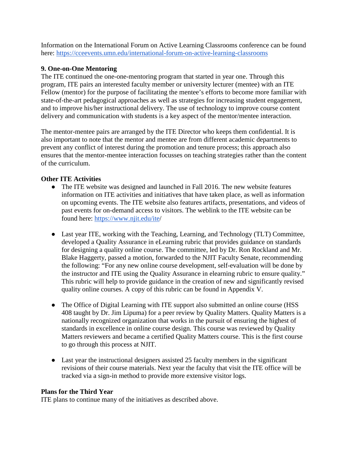Information on the International Forum on Active Learning Classrooms conference can be found here:<https://cceevents.umn.edu/international-forum-on-active-learning-classrooms>

## **9. One-on-One Mentoring**

The ITE continued the one-one-mentoring program that started in year one. Through this program, ITE pairs an interested faculty member or university lecturer (mentee) with an ITE Fellow (mentor) for the purpose of facilitating the mentee's efforts to become more familiar with state-of-the-art pedagogical approaches as well as strategies for increasing student engagement, and to improve his/her instructional delivery. The use of technology to improve course content delivery and communication with students is a key aspect of the mentor/mentee interaction.

The mentor-mentee pairs are arranged by the ITE Director who keeps them confidential. It is also important to note that the mentor and mentee are from different academic departments to prevent any conflict of interest during the promotion and tenure process; this approach also ensures that the mentor-mentee interaction focusses on teaching strategies rather than the content of the curriculum.

## **Other ITE Activities**

- The ITE website was designed and launched in Fall 2016. The new website features information on ITE activities and initiatives that have taken place, as well as information on upcoming events. The ITE website also features artifacts, presentations, and videos of past events for on-demand access to visitors. The weblink to the ITE website can be found here: [https://www.njit.edu/ite/](https://www.njit.edu/ite/index/)
- Last year ITE, working with the Teaching, Learning, and Technology (TLT) Committee, developed a Quality Assurance in eLearning rubric that provides guidance on standards for designing a quality online course. The committee, led by Dr. Ron Rockland and Mr. Blake Haggerty, passed a motion, forwarded to the NJIT Faculty Senate, recommending the following: "For any new online course development, self-evaluation will be done by the instructor and ITE using the Quality Assurance in elearning rubric to ensure quality." This rubric will help to provide guidance in the creation of new and significantly revised quality online courses. A copy of this rubric can be found in Appendix V.
- The Office of Digital Learning with ITE support also submitted an online course (HSS) 408 taught by Dr. Jim Lipuma) for a peer review by Quality Matters. Quality Matters is a nationally recognized organization that works in the pursuit of ensuring the highest of standards in excellence in online course design. This course was reviewed by Quality Matters reviewers and became a certified Quality Matters course. This is the first course to go through this process at NJIT.
- Last year the instructional designers assisted 25 faculty members in the significant revisions of their course materials. Next year the faculty that visit the ITE office will be tracked via a sign-in method to provide more extensive visitor logs.

## **Plans for the Third Year**

ITE plans to continue many of the initiatives as described above.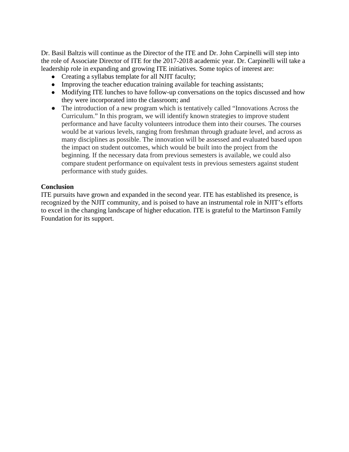Dr. Basil Baltzis will continue as the Director of the ITE and Dr. John Carpinelli will step into the role of Associate Director of ITE for the 2017-2018 academic year. Dr. Carpinelli will take a leadership role in expanding and growing ITE initiatives. Some topics of interest are:

- Creating a syllabus template for all NJIT faculty;
- Improving the teacher education training available for teaching assistants;
- Modifying ITE lunches to have follow-up conversations on the topics discussed and how they were incorporated into the classroom; and
- The introduction of a new program which is tentatively called "Innovations Across the Curriculum." In this program, we will identify known strategies to improve student performance and have faculty volunteers introduce them into their courses. The courses would be at various levels, ranging from freshman through graduate level, and across as many disciplines as possible. The innovation will be assessed and evaluated based upon the impact on student outcomes, which would be built into the project from the beginning. If the necessary data from previous semesters is available, we could also compare student performance on equivalent tests in previous semesters against student performance with study guides.

## **Conclusion**

ITE pursuits have grown and expanded in the second year. ITE has established its presence, is recognized by the NJIT community, and is poised to have an instrumental role in NJIT's efforts to excel in the changing landscape of higher education. ITE is grateful to the Martinson Family Foundation for its support.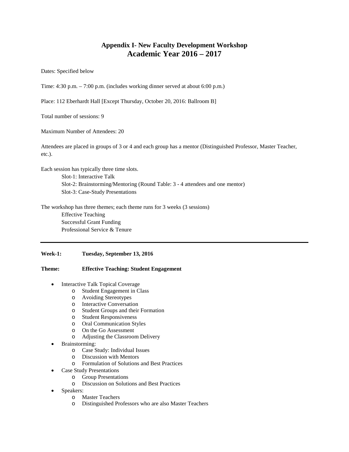## **Appendix I- New Faculty Development Workshop Academic Year 2016 – 2017**

Dates: Specified below

Time: 4:30 p.m. – 7:00 p.m. (includes working dinner served at about 6:00 p.m.)

Place: 112 Eberhardt Hall [Except Thursday, October 20, 2016: Ballroom B]

Total number of sessions: 9

Maximum Number of Attendees: 20

Attendees are placed in groups of 3 or 4 and each group has a mentor (Distinguished Professor, Master Teacher, etc.).

Each session has typically three time slots. Slot-1: Interactive Talk Slot-2: Brainstorming/Mentoring (Round Table: 3 - 4 attendees and one mentor) Slot-3: Case-Study Presentations

The workshop has three themes; each theme runs for 3 weeks (3 sessions) Effective Teaching Successful Grant Funding Professional Service & Tenure

#### **Week-1: Tuesday, September 13, 2016**

#### **Theme: Effective Teaching: Student Engagement**

- Interactive Talk Topical Coverage
	- o Student Engagement in Class
	- o Avoiding Stereotypes
	- o Interactive Conversation
	- Student Groups and their Formation
	- o Student Responsiveness
	- o Oral Communication Styles
	- o On the Go Assessment
	- o Adjusting the Classroom Delivery
- Brainstorming:
	- o Case Study: Individual Issues
	- o Discussion with Mentors
	- o Formulation of Solutions and Best Practices
- Case Study Presentations
	- o Group Presentations
	- o Discussion on Solutions and Best Practices
- Speakers:
	- o Master Teachers
	- o Distinguished Professors who are also Master Teachers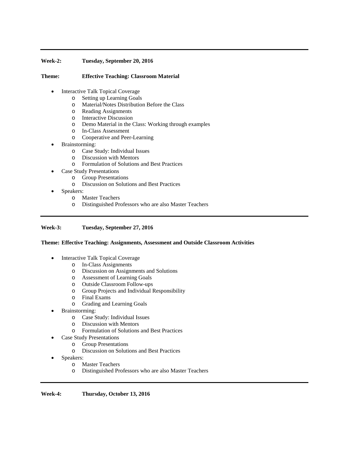#### **Week-2: Tuesday, September 20, 2016**

#### **Theme: Effective Teaching: Classroom Material**

- Interactive Talk Topical Coverage
	-
	- o Setting up Learning Goals o Material/Notes Distribution Before the Class
	- o Reading Assignments
	- **Interactive Discussion**
	- o Demo Material in the Class: Working through examples
	- In-Class Assessment
	- o Cooperative and Peer-Learning
- Brainstorming:
	- o Case Study: Individual Issues
	- o Discussion with Mentors
	- o Formulation of Solutions and Best Practices
- Case Study Presentations
	- o Group Presentations
	- Discussion on Solutions and Best Practices
- Speakers:
	- o Master Teachers
	- o Distinguished Professors who are also Master Teachers

#### **Week-3: Tuesday, September 27, 2016**

#### **Theme: Effective Teaching: Assignments, Assessment and Outside Classroom Activities**

- Interactive Talk Topical Coverage
	- o In-Class Assignments
	- o Discussion on Assignments and Solutions
	- o Assessment of Learning Goals
	- o Outside Classroom Follow-ups
	- o Group Projects and Individual Responsibility
	-
	- o Final Exams Grading and Learning Goals
- Brainstorming:
	- o Case Study: Individual Issues
	- Discussion with Mentors
	- o Formulation of Solutions and Best Practices
- Case Study Presentations
	- o Group Presentations
	- o Discussion on Solutions and Best Practices
- Speakers:
	- o Master Teachers
	- o Distinguished Professors who are also Master Teachers

**Week-4: Thursday, October 13, 2016**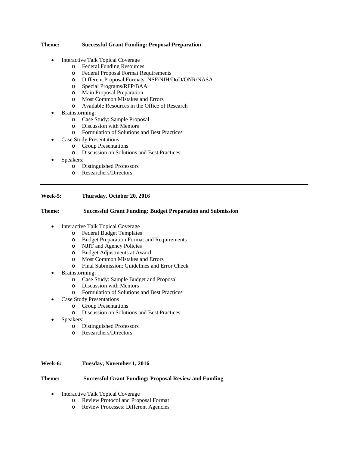#### **Theme: Successful Grant Funding: Proposal Preparation**

- Interactive Talk Topical Coverage
	- o Federal Funding Resources
	- o Federal Proposal Format Requirements
	- Different Proposal Formats: NSF/NIH/DoD/ONR/NASA
	- o Special Programs/RFP/BAA
	- o Main Proposal Preparation
	- o Most Common Mistakes and Errors
	- Available Resources in the Office of Research
- Brainstorming:
	- o Case Study: Sample Proposal
	- o Discussion with Mentors
	- o Formulation of Solutions and Best Practices
- Case Study Presentations
	- o Group Presentations
	- Discussion on Solutions and Best Practices
- Speakers:
	- o Distinguished Professors
	- o Researchers/Directors

#### **Week-5: Thursday, October 20, 2016**

#### **Theme: Successful Grant Funding: Budget Preparation and Submission**

- Interactive Talk Topical Coverage
	- o Federal Budget Templates
	- o Budget Preparation Format and Requirements
	-
	- o NJIT and Agency Policies Budget Adjustments at Award
	- o Most Common Mistakes and Errors<br>  $\Omega$  Final Submission: Guidelines and Fi
	- Final Submission: Guidelines and Error Check
- Brainstorming:
	- o Case Study: Sample Budget and Proposal
	- o Discussion with Mentors
	- Formulation of Solutions and Best Practices
	- Case Study Presentations
		- o Group Presentations
		- o Discussion on Solutions and Best Practices
- Speakers:
	- o Distinguished Professors
	- Researchers/Directors

#### **Week-6: Tuesday, November 1, 2016**

#### **Theme: Successful Grant Funding: Proposal Review and Funding**

- Interactive Talk Topical Coverage
	- o Review Protocol and Proposal Format<br>
	o Review Processes: Different Agencies
	- Review Processes: Different Agencies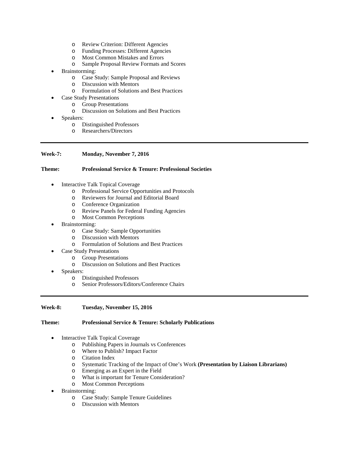- o Review Criterion: Different Agencies
- o Funding Processes: Different Agencies
- o Most Common Mistakes and Errors
- o Sample Proposal Review Formats and Scores
- Brainstorming:
	- o Case Study: Sample Proposal and Reviews
	- o Discussion with Mentors
	- Formulation of Solutions and Best Practices
- Case Study Presentations
	- o Group Presentations
	- o Discussion on Solutions and Best Practices
- Speakers:
	- o Distinguished Professors
	- Researchers/Directors

#### **Week-7: Monday, November 7, 2016**

#### **Theme: Professional Service & Tenure: Professional Societies**

- Interactive Talk Topical Coverage
	- o Professional Service Opportunities and Protocols
	- o Reviewers for Journal and Editorial Board
	- o Conference Organization
	- o Review Panels for Federal Funding Agencies
	- **Most Common Perceptions**
- Brainstorming:
	- o Case Study: Sample Opportunities
	- o Discussion with Mentors
	- Formulation of Solutions and Best Practices
- Case Study Presentations
	- o Group Presentations
	- o Discussion on Solutions and Best Practices
- Speakers:
	- o Distinguished Professors
	- o Senior Professors/Editors/Conference Chairs

#### **Week-8: Tuesday, November 15, 2016**

#### **Theme: Professional Service & Tenure: Scholarly Publications**

- Interactive Talk Topical Coverage
	- o Publishing Papers in Journals vs Conferences
	- o Where to Publish? Impact Factor
	- o Citation Index
	- Systematic Tracking of the Impact of One's Work **(Presentation by Liaison Librarians)**
	- o Emerging as an Expert in the Field
	- o What is important for Tenure Consideration?
	- o Most Common Perceptions
- Brainstorming:
	- o Case Study: Sample Tenure Guidelines
	- o Discussion with Mentors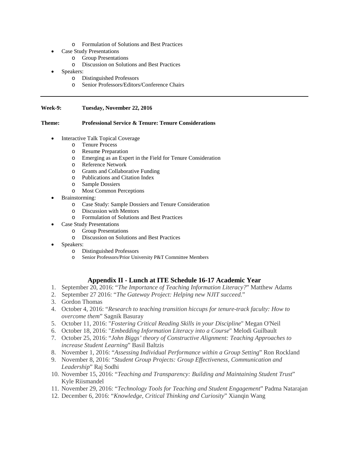- o Formulation of Solutions and Best Practices
- Case Study Presentations
	- o Group Presentations
	- o Discussion on Solutions and Best Practices
- Speakers:
	- o Distinguished Professors
	- Senior Professors/Editors/Conference Chairs

#### **Week-9: Tuesday, November 22, 2016**

#### **Theme: Professional Service & Tenure: Tenure Considerations**

- Interactive Talk Topical Coverage
	- o Tenure Process
	- o Resume Preparation
	- o Emerging as an Expert in the Field for Tenure Consideration
	- o Reference Network
	- o Grants and Collaborative Funding
	- Publications and Citation Index
	- o Sample Dossiers
	- o Most Common Perceptions
- Brainstorming:
	- o Case Study: Sample Dossiers and Tenure Consideration
	- Discussion with Mentors
	- o Formulation of Solutions and Best Practices
- **Case Study Presentations** 
	- o Group Presentations
	- o Discussion on Solutions and Best Practices
- Speakers:
	- o Distinguished Professors
	- Senior Professors/Prior University P&T Committee Members

#### **Appendix II - Lunch at ITE Schedule 16-17 Academic Year**

- 1. September 20, 2016: "*The Importance of Teaching Information Literacy?*" Matthew Adams
- 2. September 27 2016: "*The Gateway Project: Helping new NJIT succeed.*"
- 3. Gordon Thomas
- 4. October 4, 2016: "*Research to teaching transition hiccups for tenure-track faculty: How to overcome them*" Sagnik Basuray
- 5. October 11, 2016: "*Fostering Critical Reading Skills in your Discipline*" Megan O'Neil
- 6. October 18, 2016: "*Embedding Information Literacy into a Course*" Melodi Guilbault
- 7. October 25, 2016: "*John Biggs' theory of Constructive Alignment: Teaching Approaches to increase Student Learning*" Basil Baltzis
- 8. November 1, 2016: "*Assessing Individual Performance within a Group Setting*" Ron Rockland
- 9. November 8, 2016: "*Student Group Projects: Group Effectiveness, Communication and Leadership*" Raj Sodhi
- 10. November 15, 2016: "*Teaching and Transparency: Building and Maintaining Student Trust*" Kyle Riismandel
- 11. November 29, 2016: "*Technology Tools for Teaching and Student Engagement*" Padma Natarajan
- 12. December 6, 2016: "*Knowledge, Critical Thinking and Curiosity*" Xianqin Wang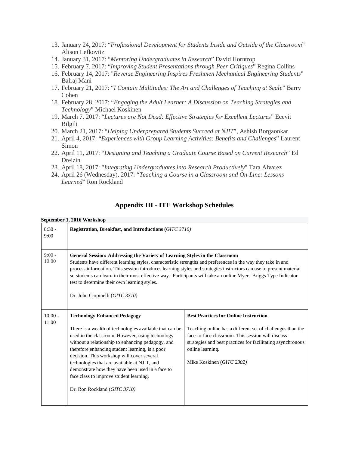- 13. January 24, 2017: "*Professional Development for Students Inside and Outside of the Classroom*" Alison Lefkovitz
- 14. January 31, 2017: "*Mentoring Undergraduates in Research*" David Horntrop
- 15. February 7, 2017: "*Improving Student Presentations through Peer Critiques*" Regina Collins
- 16. February 14, 2017: "*Reverse Engineering Inspires Freshmen Mechanical Engineering Students*" Balraj Mani
- 17. February 21, 2017: "*I Contain Multitudes: The Art and Challenges of Teaching at Scale*" Barry Cohen
- 18. February 28, 2017: "*Engaging the Adult Learner: A Discussion on Teaching Strategies and Technology*" Michael Koskinen
- 19. March 7, 2017: "*Lectures are Not Dead: Effective Strategies for Excellent Lectures*" Ecevit Bilgili
- 20. March 21, 2017: "*Helping Underprepared Students Succeed at NJIT*", Ashish Borgaonkar
- 21. April 4, 2017: "*Experiences with Group Learning Activities: Benefits and Challenges*" Laurent Simon
- 22. April 11, 2017: "*Designing and Teaching a Graduate Course Based on Current Research*" Ed Dreizin
- 23. April 18, 2017: "*Integrating Undergraduates into Research Productively*" Tara Alvarez
- 24. April 26 (Wednesday), 2017: "*Teaching a Course in a Classroom and On-Line: Lessons Learned*" Ron Rockland

## **Appendix III - ITE Workshop Schedules**

#### **September 1, 2016 Workshop**  $8:30 -$ 9:00 **Registration, Breakfast, and Introductions (***GITC 3710)*  $9:00 -$ 10:00 **General Session: Addressing the Variety of Learning Styles in the Classroom** Students have different learning styles, characteristic strengths and preferences in the way they take in and process information. This session introduces learning styles and strategies instructors can use to present material so students can learn in their most effective way. Participants will take an online Myers-Briggs Type Indicator test to determine their own learning styles. Dr. John Carpinelli (*GITC 3710)*  $10:00 -$ 11:00 **Technology Enhanced Pedagogy** There is a wealth of technologies available that can be used in the classroom. However, using technology without a relationship to enhancing pedagogy, and therefore enhancing student learning, is a poor decision. This workshop will cover several technologies that are available at NJIT, and demonstrate how they have been used in a face to face class to improve student learning. Dr. Ron Rockland (*GITC 3710)* **Best Practices for Online Instruction** Teaching online has a different set of challenges than the face-to-face classroom. This session will discuss strategies and best practices for facilitating asynchronous online learning. Mike Koskinen (*GITC 2302)*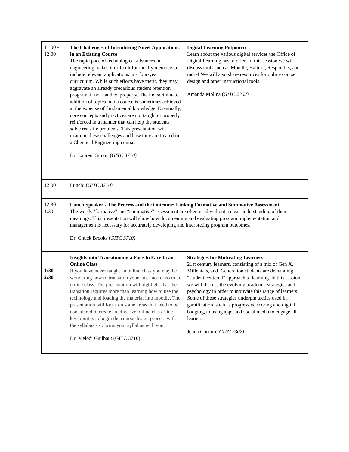| $11:00 -$<br>12:00 | The Challenges of Introducing Novel Applications<br>in an Existing Course<br>The rapid pace of technological advances in<br>engineering makes it difficult for faculty members to<br>include relevant applications in a four-year<br>curriculum. While such efforts have merit, they may<br>aggravate an already precarious student retention<br>program, if not handled properly. The indiscriminate<br>addition of topics into a course is sometimes achieved<br>at the expense of fundamental knowledge. Eventually,<br>core concepts and practices are not taught or properly<br>reinforced in a manner that can help the students<br>solve real-life problems. This presentation will<br>examine these challenges and how they are treated in<br>a Chemical Engineering course.<br>Dr. Laurent Simon (GITC 3710) | <b>Digital Learning Potpourri</b><br>Learn about the various digital services the Office of<br>Digital Learning has to offer. In this session we will<br>discuss tools such as Moodle, Kaltura, Respondus, and<br>more! We will also share resources for online course<br>design and other instructional tools.<br>Amanda Molina (GITC 2302)                                                                                                                                                                                                               |  |
|--------------------|-----------------------------------------------------------------------------------------------------------------------------------------------------------------------------------------------------------------------------------------------------------------------------------------------------------------------------------------------------------------------------------------------------------------------------------------------------------------------------------------------------------------------------------------------------------------------------------------------------------------------------------------------------------------------------------------------------------------------------------------------------------------------------------------------------------------------|------------------------------------------------------------------------------------------------------------------------------------------------------------------------------------------------------------------------------------------------------------------------------------------------------------------------------------------------------------------------------------------------------------------------------------------------------------------------------------------------------------------------------------------------------------|--|
| 12:00              | Lunch: $(GITC 3710)$                                                                                                                                                                                                                                                                                                                                                                                                                                                                                                                                                                                                                                                                                                                                                                                                  |                                                                                                                                                                                                                                                                                                                                                                                                                                                                                                                                                            |  |
| $12:30 -$<br>1:30  | Lunch Speaker - The Process and the Outcome: Linking Formative and Summative Assessment<br>The words "formative" and "summative" assessment are often used without a clear understanding of their<br>meanings. This presentation will show how documenting and evaluating program implementation and<br>management is necessary for accurately developing and interpreting program outcomes.<br>Dr. Chuck Brooks (GITC 3710)                                                                                                                                                                                                                                                                                                                                                                                          |                                                                                                                                                                                                                                                                                                                                                                                                                                                                                                                                                            |  |
| $1:30 -$<br>2:30   | Insights into Transitioning a Face-to Face to an<br><b>Online Class</b><br>If you have never taught an online class you may be<br>wondering how to transition your face-face class to an<br>online class. The presentation will highlight that the<br>transition requires more than learning how to use the<br>technology and loading the material into moodle. The<br>presentation will focus on some areas that need to be<br>considered to create an effective online class. One<br>key point is to begin the course design process with<br>the syllabus - so bring your syllabus with you.<br>Dr. Melodi Guilbaut (GITC 3710)                                                                                                                                                                                     | <b>Strategies for Motivating Learners</b><br>21st century learners, consisting of a mix of Gen X,<br>Millenials, and iGeneration students are demanding a<br>"student centered" approach to learning. In this session,<br>we will discuss the evolving academic strategies and<br>psychology in order to motivate this range of learners.<br>Some of these strategies underpin tactics used in<br>gamification, such as progressive scoring and digital<br>badging, to using apps and social media to engage all<br>learners.<br>Jenna Corraro (GITC 2302) |  |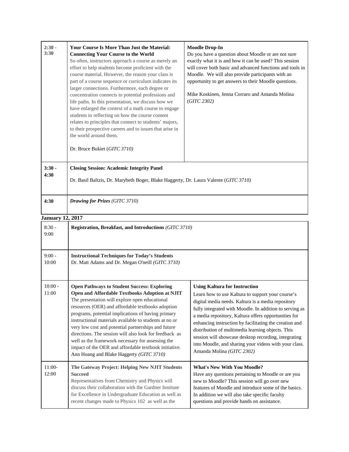| $2:30 -$<br>3:30        | Your Course Is More Than Just the Material:<br><b>Connecting Your Course to the World</b><br>So often, instructors approach a course as merely an<br>effort to help students become proficient with the<br>course material. However, the reason your class is<br>part of a course sequence or curriculum indicates its<br>larger connections. Furthermore, each degree or<br>concentration connects to potential professions and<br>life paths. In this presentation, we discuss how we<br>have enlarged the context of a math course to engage<br>students in reflecting on how the course content<br>relates to principles that connect to students' majors,<br>to their prospective careers and to issues that arise in<br>the world around them.<br>Dr. Bruce Bukiet (GITC 3710) | <b>Moodle Drop-In</b><br>Do you have a question about Moodle or are not sure<br>exactly what it is and how it can be used? This session<br>will cover both basic and advanced functions and tools in<br>Moodle. We will also provide participants with an<br>opportunity to get answers to their Moodle questions.<br>Mike Koskinen, Jenna Corraro and Amanda Molina<br>(GITC 2302)                                                                                                                                             |  |
|-------------------------|--------------------------------------------------------------------------------------------------------------------------------------------------------------------------------------------------------------------------------------------------------------------------------------------------------------------------------------------------------------------------------------------------------------------------------------------------------------------------------------------------------------------------------------------------------------------------------------------------------------------------------------------------------------------------------------------------------------------------------------------------------------------------------------|---------------------------------------------------------------------------------------------------------------------------------------------------------------------------------------------------------------------------------------------------------------------------------------------------------------------------------------------------------------------------------------------------------------------------------------------------------------------------------------------------------------------------------|--|
| $3:30 -$<br>4:30        | <b>Closing Session: Academic Integrity Panel</b><br>Dr. Basil Baltzis, Dr. Marybeth Boger, Blake Haggerty, Dr. Laura Valente (GITC 3710)                                                                                                                                                                                                                                                                                                                                                                                                                                                                                                                                                                                                                                             |                                                                                                                                                                                                                                                                                                                                                                                                                                                                                                                                 |  |
| 4:30                    | Drawing for Prizes (GITC 3710)                                                                                                                                                                                                                                                                                                                                                                                                                                                                                                                                                                                                                                                                                                                                                       |                                                                                                                                                                                                                                                                                                                                                                                                                                                                                                                                 |  |
| <b>January 12, 2017</b> |                                                                                                                                                                                                                                                                                                                                                                                                                                                                                                                                                                                                                                                                                                                                                                                      |                                                                                                                                                                                                                                                                                                                                                                                                                                                                                                                                 |  |
| $8:30 -$<br>9:00        | Registration, Breakfast, and Introductions (GITC 3710)                                                                                                                                                                                                                                                                                                                                                                                                                                                                                                                                                                                                                                                                                                                               |                                                                                                                                                                                                                                                                                                                                                                                                                                                                                                                                 |  |
| $9:00 -$<br>10:00       | <b>Instructional Techniques for Today's Students</b><br>Dr. Matt Adams and Dr. Megan O'neill (GITC 3710)                                                                                                                                                                                                                                                                                                                                                                                                                                                                                                                                                                                                                                                                             |                                                                                                                                                                                                                                                                                                                                                                                                                                                                                                                                 |  |
| $10:00 -$<br>11:00      | <b>Open Pathways to Student Success: Exploring</b><br>Open and Affordable Textbooks Adoption at NJIT<br>The presentation will explore open educational<br>resources (OER) and affordable textbooks adoption<br>programs, potential implications of having primary<br>instructional materials available to students at no or<br>very low cost and potential partnerships and future<br>directions. The session will also look for feedback as<br>well as the framework necessary for assessing the<br>impact of the OER and affordable textbook initiative.<br>Ann Hoang and Blake Haggerty (GITC 3710)                                                                                                                                                                               | <b>Using Kaltura for Instruction</b><br>Learn how to use Kaltura to support your course's<br>digital media needs. Kaltura is a media repository<br>fully integrated with Moodle. In addition to serving as<br>a media repository, Kaltura offers opportunities for<br>enhancing instruction by facilitating the creation and<br>distribution of multimedia learning objects. This<br>session will showcase desktop recording, integrating<br>into Moodle, and sharing your videos with your class.<br>Amanda Molina (GITC 2302) |  |
| $11:00-$<br>12:00       | The Gateway Project: Helping New NJIT Students<br><b>Succeed</b><br>Representatives from Chemistry and Physics will<br>discuss their collaboration with the Gardner Institute<br>for Excellence in Undergraduate Education as well as<br>recent changes made to Physics 102 as well as the                                                                                                                                                                                                                                                                                                                                                                                                                                                                                           | <b>What's New With You Moodle?</b><br>Have any questions pertaining to Moodle or are you<br>new to Moodle? This session will go over new<br>features of Moodle and introduce some of the basics.<br>In addition we will also take specific faculty<br>questions and provide hands on assistance.                                                                                                                                                                                                                                |  |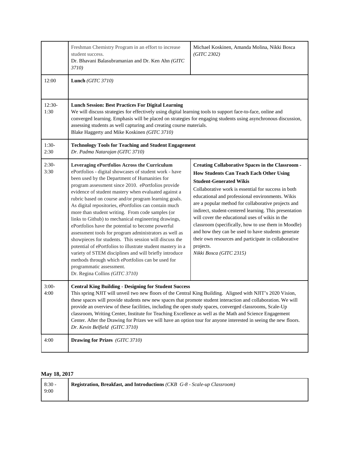|                 | Freshman Chemistry Program in an effort to increase<br>student success.<br>Dr. Bhavani Balasubramanian and Dr. Ken Ahn (GITC<br>3710)                                                                                                                                                                                                                                                                                                                                                                                                                                                                                                                                                                                                                                                                                                                                                                                    | Michael Koskinen, Amanda Molina, Nikki Bosca<br>(GITC 2302)                                                                                                                                                                                                                                                                                                                                                                                                                                                                                                                                                                             |  |
|-----------------|--------------------------------------------------------------------------------------------------------------------------------------------------------------------------------------------------------------------------------------------------------------------------------------------------------------------------------------------------------------------------------------------------------------------------------------------------------------------------------------------------------------------------------------------------------------------------------------------------------------------------------------------------------------------------------------------------------------------------------------------------------------------------------------------------------------------------------------------------------------------------------------------------------------------------|-----------------------------------------------------------------------------------------------------------------------------------------------------------------------------------------------------------------------------------------------------------------------------------------------------------------------------------------------------------------------------------------------------------------------------------------------------------------------------------------------------------------------------------------------------------------------------------------------------------------------------------------|--|
| 12:00           | Lunch (GITC 3710)                                                                                                                                                                                                                                                                                                                                                                                                                                                                                                                                                                                                                                                                                                                                                                                                                                                                                                        |                                                                                                                                                                                                                                                                                                                                                                                                                                                                                                                                                                                                                                         |  |
| 12:30-<br>1:30  | <b>Lunch Session: Best Practices For Digital Learning</b><br>We will discuss strategies for effectively using digital learning tools to support face-to-face, online and<br>converged learning. Emphasis will be placed on strategies for engaging students using asynchronous discussion,<br>assessing students as well capturing and creating course materials.<br>Blake Haggerty and Mike Koskinen (GITC 3710)                                                                                                                                                                                                                                                                                                                                                                                                                                                                                                        |                                                                                                                                                                                                                                                                                                                                                                                                                                                                                                                                                                                                                                         |  |
| $1:30-$<br>2:30 | <b>Technology Tools for Teaching and Student Engagement</b><br>Dr. Padma Natarajan (GITC 3710)                                                                                                                                                                                                                                                                                                                                                                                                                                                                                                                                                                                                                                                                                                                                                                                                                           |                                                                                                                                                                                                                                                                                                                                                                                                                                                                                                                                                                                                                                         |  |
| $2:30-$<br>3:30 | Leveraging ePortfolios Across the Curriculum<br>ePortfolios - digital showcases of student work - have<br>been used by the Department of Humanities for<br>program assessment since 2010. ePortfolios provide<br>evidence of student mastery when evaluated against a<br>rubric based on course and/or program learning goals.<br>As digital repositories, ePortfolios can contain much<br>more than student writing. From code samples (or<br>links to Github) to mechanical engineering drawings,<br>ePortfolios have the potential to become powerful<br>assessment tools for program administrators as well as<br>showpieces for students. This session will discuss the<br>potential of ePortfolios to illustrate student mastery in a<br>variety of STEM disciplines and will briefly introduce<br>methods through which ePortfolios can be used for<br>programmatic assessment.<br>Dr. Regina Collins (GITC 3710) | <b>Creating Collaborative Spaces in the Classroom -</b><br><b>How Students Can Teach Each Other Using</b><br><b>Student-Generated Wikis</b><br>Collaborative work is essential for success in both<br>educational and professional environments. Wikis<br>are a popular method for collaborative projects and<br>indirect, student-centered learning. This presentation<br>will cover the educational uses of wikis in the<br>classroom (specifically, how to use them in Moodle)<br>and how they can be used to have students generate<br>their own resources and participate in collaborative<br>projects.<br>Nikki Bosca (GITC 2315) |  |
| $3:00-$<br>4:00 | <b>Central King Building - Designing for Student Success</b><br>This spring NJIT will unveil two new floors of the Central King Building. Aligned with NJIT's 2020 Vision,<br>these spaces will provide students new new spaces that promote student interaction and collaboration. We will<br>provide an overview of these facilities, including the open study spaces, converged classrooms, Scale-Up<br>classroom, Writing Center, Institute for Teaching Excellence as well as the Math and Science Engagement<br>Center. After the Drawing for Prizes we will have an option tour for anyone interested in seeing the new floors.<br>Dr. Kevin Belfield (GITC 3710)                                                                                                                                                                                                                                                 |                                                                                                                                                                                                                                                                                                                                                                                                                                                                                                                                                                                                                                         |  |
| 4:00            | Drawing for Prizes (GITC 3710)                                                                                                                                                                                                                                                                                                                                                                                                                                                                                                                                                                                                                                                                                                                                                                                                                                                                                           |                                                                                                                                                                                                                                                                                                                                                                                                                                                                                                                                                                                                                                         |  |

## **May 18, 2017**

| $8:30-$ | <b>Registration, Breakfast, and Introductions (CKB G-8 - Scale-up Classroom)</b> |
|---------|----------------------------------------------------------------------------------|
| 9:00    |                                                                                  |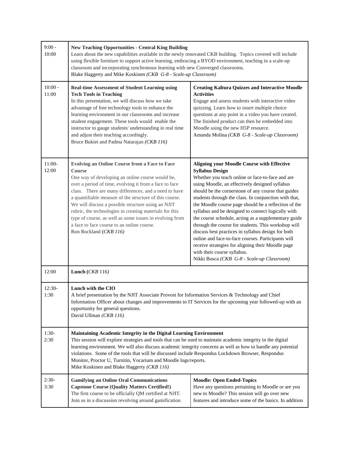| $9:00 -$<br>10:00  | <b>New Teaching Opportunities - Central King Building</b><br>Learn about the new capabilities available in the newly renovated CKB building. Topics covered will include<br>using flexible furniture to support active learning, embracing a BYOD environment, teaching in a scale-up<br>classroom and incorporating synchronous learning with new Converged classrooms.<br>Blake Haggerty and Mike Koskinen (CKB G-8 - Scale-up Classroom)                                                                                                                 |                                                                                                                                                                                                                                                                                                                                                                                                                                                                                                                                                                                                                                                                                                                                                                              |  |
|--------------------|-------------------------------------------------------------------------------------------------------------------------------------------------------------------------------------------------------------------------------------------------------------------------------------------------------------------------------------------------------------------------------------------------------------------------------------------------------------------------------------------------------------------------------------------------------------|------------------------------------------------------------------------------------------------------------------------------------------------------------------------------------------------------------------------------------------------------------------------------------------------------------------------------------------------------------------------------------------------------------------------------------------------------------------------------------------------------------------------------------------------------------------------------------------------------------------------------------------------------------------------------------------------------------------------------------------------------------------------------|--|
| $10:00 -$<br>11:00 | <b>Real-time Assessment of Student Learning using</b><br><b>Tech Tools in Teaching</b><br>In this presentation, we will discuss how we take<br>advantage of free technology tools to enhance the<br>learning environment in our classrooms and increase<br>student engagement. These tools would enable the<br>instructor to gauge students' understanding in real time<br>and adjust their teaching accordingly.<br>Bruce Bukiet and Padma Natarajan (CKB 116)                                                                                             | <b>Creating Kaltura Quizzes and Interactive Moodle</b><br><b>Activities</b><br>Engage and assess students with interactive video<br>quizzing. Learn how to insert multiple choice<br>questions at any point in a video you have created.<br>The finished product can then be embedded into<br>Moodle using the new H5P resource.<br>Amanda Molina (CKB G-8 - Scale-up Classroom)                                                                                                                                                                                                                                                                                                                                                                                             |  |
| $11:00-$<br>12:00  | <b>Evolving an Online Course from a Face to Face</b><br><b>Course</b><br>One way of developing an online course would be,<br>over a period of time, evolving it from a face to face<br>class. There are many differences, and a need to have<br>a quantifiable measure of the structure of this course.<br>We will discuss a possible structure using an NJIT<br>rubric, the technologies in creating materials for this<br>type of course, as well as some issues in evolving from<br>a face to face course to an online course.<br>Ron Rockland (CKB 116) | <b>Aligning your Moodle Course with Effective</b><br><b>Syllabus Design</b><br>Whether you teach online or face-to-face and are<br>using Moodle, an effectively designed syllabus<br>should be the cornerstone of any course that guides<br>students through the class. In conjunction with that,<br>the Moodle course page should be a reflection of the<br>syllabus and be designed to connect logically with<br>the course schedule, acting as a supplementary guide<br>through the course for students. This workshop will<br>discuss best practices in syllabus design for both<br>online and face-to-face courses. Participants will<br>receive strategies for aligning their Moodle page<br>with their course syllabus.<br>Nikki Bosca (CKB G-8 - Scale-up Classroom) |  |
| 12:00              | Lunch $(CKB\ 116)$                                                                                                                                                                                                                                                                                                                                                                                                                                                                                                                                          |                                                                                                                                                                                                                                                                                                                                                                                                                                                                                                                                                                                                                                                                                                                                                                              |  |
| $12:30-$<br>1:30   | Lunch with the CIO<br>A brief presentation by the NJIT Associate Provost for Information Services & Technology and Chief<br>Information Officer about changes and improvements to IT Services for the upcoming year followed-up with an<br>opportunity for general questions.<br>David Ullman (CKB 116)                                                                                                                                                                                                                                                     |                                                                                                                                                                                                                                                                                                                                                                                                                                                                                                                                                                                                                                                                                                                                                                              |  |
| $1:30-$<br>2:30    | Maintaining Academic Integrity in the Digital Learning Environment<br>This session will explore strategies and tools that can be used to maintain academic integrity in the digital<br>learning environment. We will also discuss academic integrity concerns as well as how to handle any potential<br>violations. Some of the tools that will be discussed include Respondus Lockdown Browser, Respondus<br>Monitor, Proctor U, Turnitin, Vocarium and Moodle logs/reports.<br>Mike Koskinen and Blake Haggerty (CKB 116)                                 |                                                                                                                                                                                                                                                                                                                                                                                                                                                                                                                                                                                                                                                                                                                                                                              |  |
| $2:30-$<br>3:30    | <b>Gamifying an Online Oral Communications</b><br><b>Capstone Course (Quality Matters Certified!)</b><br>The first course to be officially QM certified at NJIT.<br>Join us in a discussion revolving around gamification                                                                                                                                                                                                                                                                                                                                   | <b>Moodle: Open Ended-Topics</b><br>Have any questions pertaining to Moodle or are you<br>new to Moodle? This session will go over new<br>features and introduce some of the basics. In addition                                                                                                                                                                                                                                                                                                                                                                                                                                                                                                                                                                             |  |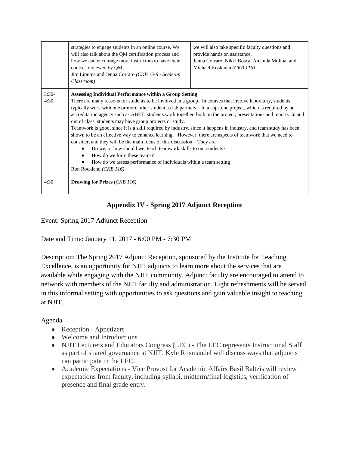|         | strategies to engage students in an online course. We<br>will also talk about the QM certification process and<br>how we can encourage more instructors to have their<br>courses reviewed by QM.<br>Jim Lipuma and Jenna Corraro (CKB G-8 - Scale-up)<br>Classroom)                                                                                                                                                                                                                                                                                                                                                                                                                                                                                                                                                                                                                                                                                                                   | we will also take specific faculty questions and<br>provide hands on assistance.<br>Jenna Corraro, Nikki Bosca, Amanda Molina, and<br>Michael Koskinen (CKB 116) |  |
|---------|---------------------------------------------------------------------------------------------------------------------------------------------------------------------------------------------------------------------------------------------------------------------------------------------------------------------------------------------------------------------------------------------------------------------------------------------------------------------------------------------------------------------------------------------------------------------------------------------------------------------------------------------------------------------------------------------------------------------------------------------------------------------------------------------------------------------------------------------------------------------------------------------------------------------------------------------------------------------------------------|------------------------------------------------------------------------------------------------------------------------------------------------------------------|--|
| $3:30-$ |                                                                                                                                                                                                                                                                                                                                                                                                                                                                                                                                                                                                                                                                                                                                                                                                                                                                                                                                                                                       |                                                                                                                                                                  |  |
| 4:30    | Assessing Individual Performance within a Group Setting<br>There are many reasons for students to be involved in a group. In courses that involve laboratory, students<br>typically work with one or more other student as lab partners. In a capstone project, which is required by an<br>accreditation agency such as ABET, students work together, both on the project, presentations and reports. In and<br>out of class, students may have group projects or study.<br>Teamwork is good, since it is a skill required by industry, since it happens in industry, and team study has been<br>shown to be an effective way to enhance learning. However, there are aspects of teamwork that we need to<br>consider, and they will be the main focus of this discussion. They are:<br>Do we, or how should we, teach teamwork skills to our students?<br>How do we form these teams?<br>How do we assess performance of individuals within a team setting<br>Ron Rockland (CKB 116) |                                                                                                                                                                  |  |
| 4:30    | <b>Drawing for Prizes (CKB 116)</b>                                                                                                                                                                                                                                                                                                                                                                                                                                                                                                                                                                                                                                                                                                                                                                                                                                                                                                                                                   |                                                                                                                                                                  |  |

## **Appendix IV - Spring 2017 Adjunct Reception**

Event: Spring 2017 Adjunct Reception

Date and Time: January 11, 2017 - 6:00 PM - 7:30 PM

Description: The Spring 2017 Adjunct Reception, sponsored by the Institute for Teaching Excellence, is an opportunity for NJIT adjuncts to learn more about the services that are available while engaging with the NJIT community. Adjunct faculty are encouraged to attend to network with members of the NJIT faculty and administration. Light refreshments will be served in this informal setting with opportunities to ask questions and gain valuable insight to teaching at NJIT.

## Agenda

- Reception Appetizers
- Welcome and Introductions
- NJIT Lecturers and Educators Congress (LEC) The LEC represents Instructional Staff as part of shared governance at NJIT. Kyle Riismandel will discuss ways that adjuncts can participate in the LEC.
- Academic Expectations Vice Provost for Academic Affairs Basil Baltzis will review expectations from faculty, including syllabi, midterm/final logistics, verification of presence and final grade entry.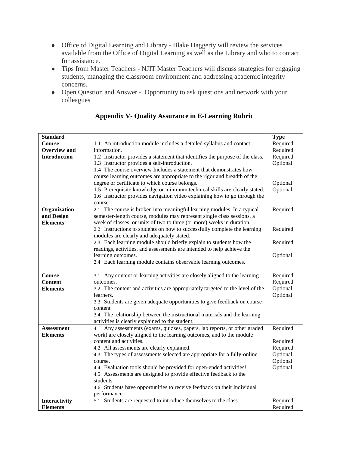- Office of Digital Learning and Library Blake Haggerty will review the services available from the Office of Digital Learning as well as the Library and who to contact for assistance.
- Tips from Master Teachers NJIT Master Teachers will discuss strategies for engaging students, managing the classroom environment and addressing academic integrity concerns.
- Open Question and Answer Opportunity to ask questions and network with your colleagues

| <b>Standard</b>     |                                                                               | <b>Type</b> |
|---------------------|-------------------------------------------------------------------------------|-------------|
| <b>Course</b>       | 1.1 An introduction module includes a detailed syllabus and contact           | Required    |
| <b>Overview and</b> | information.                                                                  | Required    |
| <b>Introduction</b> | 1.2 Instructor provides a statement that identifies the purpose of the class. | Required    |
|                     | 1.3 Instructor provides a self-introduction.                                  | Optional    |
|                     | 1.4 The course overview Includes a statement that demonstrates how            |             |
|                     | course learning outcomes are appropriate to the rigor and breadth of the      |             |
|                     | degree or certificate to which course belongs.                                | Optional    |
|                     | 1.5 Prerequisite knowledge or minimum technical skills are clearly stated.    | Optional    |
|                     | 1.6 Instructor provides navigation video explaining how to go through the     |             |
|                     | course                                                                        |             |
| Organization        | 2.1 The course is broken into meaningful learning modules. In a typical       | Required    |
| and Design          | semester-length course, modules may represent single class sessions, a        |             |
| <b>Elements</b>     | week of classes, or units of two to three (or more) weeks in duration.        |             |
|                     | 2.2 Instructions to students on how to successfully complete the learning     | Required    |
|                     | modules are clearly and adequately stated.                                    |             |
|                     | 2.3 Each learning module should briefly explain to students how the           | Required    |
|                     | readings, activities, and assessments are intended to help achieve the        |             |
|                     | learning outcomes.                                                            | Optional    |
|                     | 2.4 Each learning module contains observable learning outcomes.               |             |
|                     |                                                                               |             |
| <b>Course</b>       | 3.1 Any content or learning activities are closely aligned to the learning    | Required    |
| <b>Content</b>      | outcomes.                                                                     | Required    |
| <b>Elements</b>     | 3.2 The content and activities are appropriately targeted to the level of the | Optional    |
|                     | learners.                                                                     | Optional    |
|                     | 3.3 Students are given adequate opportunities to give feedback on course      |             |
|                     | content                                                                       |             |
|                     | 3.4 The relationship between the instructional materials and the learning     |             |
|                     | activities is clearly explained to the student.                               |             |
| <b>Assessment</b>   | 4.1 Any assessments (exams, quizzes, papers, lab reports, or other graded     | Required    |
| <b>Elements</b>     | work) are closely aligned to the learning outcomes, and to the module         |             |
|                     | content and activities.                                                       | Required    |
|                     | 4.2 All assessments are clearly explained.                                    | Required    |
|                     | 4.3 The types of assessments selected are appropriate for a fully-online      | Optional    |
|                     | course.                                                                       | Optional    |
|                     | 4.4 Evaluation tools should be provided for open-ended activities!            | Optional    |
|                     | 4.5 Assessments are designed to provide effective feedback to the             |             |
|                     | students.                                                                     |             |
|                     | 4.6 Students have opportunities to receive feedback on their individual       |             |
|                     | performance                                                                   |             |
| Interactivity       | 5.1 Students are requested to introduce themselves to the class.              | Required    |
| <b>Elements</b>     |                                                                               | Required    |

## **Appendix V- Quality Assurance in E-Learning Rubric**